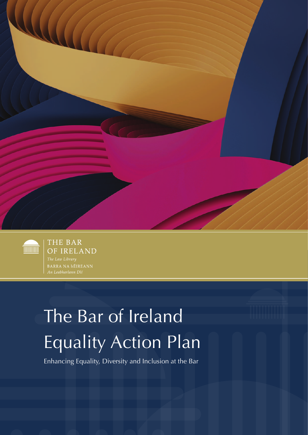



THE BAR OF IRELAND

# The Bar of Ireland Equality Action Plan

Enhancing Equality, Diversity and Inclusion at the Bar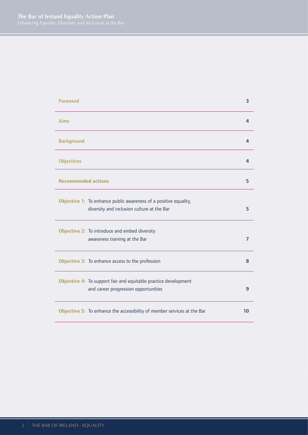| <b>Foreword</b>                                                                                                | 3              |
|----------------------------------------------------------------------------------------------------------------|----------------|
| <b>Aims</b>                                                                                                    | 4              |
| <b>Background</b>                                                                                              | 4              |
| <b>Objectives</b>                                                                                              | 4              |
| <b>Recommended actions</b>                                                                                     | 5              |
| Objective 1: To enhance public awareness of a positive equality,<br>diversity and inclusion culture at the Bar | 5              |
| Objective 2: To introduce and embed diversity<br>awareness training at the Bar                                 | 7              |
| Objective 3: To enhance access to the profession                                                               | 8              |
| Objective 4: To support fair and equitable practice development<br>and career progression opportunities        | $\overline{9}$ |
| Objective 5: To enhance the accessibility of member services at the Bar                                        | 10             |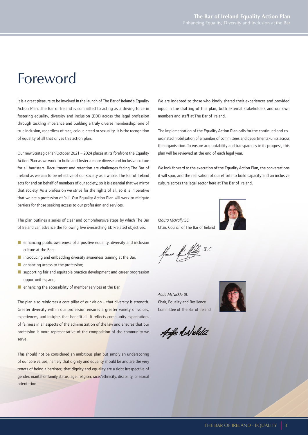## Foreword

It is a great pleasure to be involved in the launch of The Bar of Ireland's Equality Action Plan. The Bar of Ireland is committed to acting as a driving force in fostering equality, diversity and inclusion (EDI) across the legal profession through tackling imbalance and building a truly diverse membership, one of true inclusion, regardless of race, colour, creed or sexuality. It is the recognition of equality of all that drives this action plan.

Our new Strategic Plan October 2021 – 2024 places at its forefront the Equality Action Plan as we work to build and foster a more diverse and inclusive culture for all barristers. Recruitment and retention are challenges facing The Bar of Ireland as we aim to be reflective of our society as a whole. The Bar of Ireland acts for and on behalf of members of our society, so it is essential that we mirror that society. As a profession we strive for the rights of all, so it is imperative that we are a profession of 'all'. Our Equality Action Plan will work to mitigate barriers for those seeking access to our profession and services.

The plan outlines a series of clear and comprehensive steps by which The Bar of Ireland can advance the following five overarching EDI-related objectives:

- $\blacksquare$  enhancing public awareness of a positive equality, diversity and inclusion culture at the Bar;
- $\blacksquare$  introducing and embedding diversity awareness training at the Bar;
- $\blacksquare$  enhancing access to the profession;
- $\blacksquare$  supporting fair and equitable practice development and career progression opportunities; and,
- $\blacksquare$  enhancing the accessibility of member services at the Bar.

The plan also reinforces a core pillar of our vision – that diversity is strength. Greater diversity within our profession ensures a greater variety of voices, experiences, and insights that benefit all. It reflects community expectations of fairness in all aspects of the administration of the law and ensures that our profession is more representative of the composition of the community we serve.

This should not be considered an ambitious plan but simply an underscoring of our core values, namely that dignity and equality should be and are the very tenets of being a barrister; that dignity and equality are a right irrespective of gender, marital or family status, age, religion, race/ethnicity, disability, or sexual orientation.

We are indebted to those who kindly shared their experiences and provided input in the drafting of this plan, both external stakeholders and our own members and staff at The Bar of Ireland.

The implementation of the Equality Action Plan calls for the continued and coordinated mobilisation of a number of committees and departments/units across the organisation. To ensure accountability and transparency in its progress, this plan will be reviewed at the end of each legal year.

We look forward to the execution of the Equality Action Plan, the conversations it will spur, and the realisation of our efforts to build capacity and an inclusive culture across the legal sector here at The Bar of Ireland.

*Maura McNally SC* Chair, Council of The Bar of Ireland



Maura Al Mally S.C.

*Aoife McNickle BL* Chair, Equality and Resilience Committee of The Bar of Ireland



Aife Newelds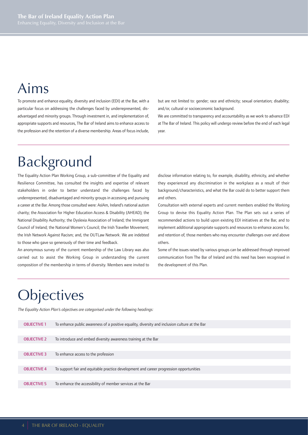## Aims

To promote and enhance equality, diversity and inclusion (EDI) at the Bar, with a particular focus on addressing the challenges faced by underrepresented, disadvantaged and minority groups. Through investment in, and implementation of, appropriate supports and resources, The Bar of Ireland aims to enhance access to the profession and the retention of a diverse membership. Areas of focus include, but are not limited to: gender; race and ethnicity; sexual orientation; disability; and/or, cultural or socioeconomic background.

We are committed to transparency and accountability as we work to advance EDI at The Bar of Ireland. This policy will undergo review before the end of each legal year.

## Background

The Equality Action Plan Working Group, a sub-committee of the Equality and Resilience Committee, has consulted the insights and expertise of relevant stakeholders in order to better understand the challenges faced by underrepresented, disadvantaged and minority groups in accessing and pursuing a career at the Bar. Among those consulted were: AsIAm, Ireland's national autism charity; the Association for Higher Education Access & Disability (AHEAD); the National Disability Authority; the Dyslexia Association of Ireland; the Immigrant Council of Ireland; the National Women's Council; the Irish Traveller Movement; the Irish Network Against Racism; and, the OUTLaw Network. We are indebted to those who gave so generously of their time and feedback.

An anonymous survey of the current membership of the Law Library was also carried out to assist the Working Group in understanding the current composition of the membership in terms of diversity. Members were invited to

disclose information relating to, for example, disability, ethnicity, and whether they experienced any discrimination in the workplace as a result of their background/characteristics, and what the Bar could do to better support them and others.

Consultation with external experts and current members enabled the Working Group to devise this Equality Action Plan. The Plan sets out a series of recommended actions to build upon existing EDI initiatives at the Bar, and to implement additional appropriate supports and resources to enhance access for, and retention of, those members who may encounter challenges over and above others.

Some of the issues raised by various groups can be addressed through improved communication from The Bar of Ireland and this need has been recognised in the development of this Plan.

## **Objectives**

*The Equality Action Plan's objectives are categorised under the following headings:*

| <b>OBJECTIVE 1</b> | To enhance public awareness of a positive equality, diversity and inclusion culture at the Bar |
|--------------------|------------------------------------------------------------------------------------------------|
|                    |                                                                                                |
| <b>OBJECTIVE 2</b> | To introduce and embed diversity awareness training at the Bar                                 |
|                    |                                                                                                |
| <b>OBJECTIVE 3</b> | To enhance access to the profession                                                            |
|                    |                                                                                                |
| <b>OBJECTIVE 4</b> | To support fair and equitable practice development and career progression opportunities        |
|                    |                                                                                                |
| <b>OBJECTIVE 5</b> | To enhance the accessibility of member services at the Bar                                     |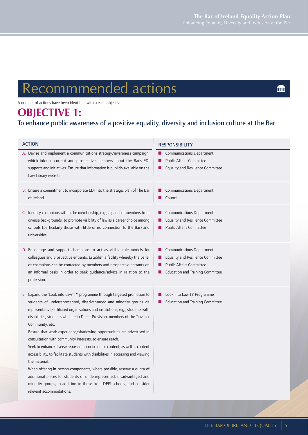**THURSE** 

## Recommmended actions

A number of actions have been identified within each objective:

## **OBJECTIVE 1:**

### To enhance public awareness of a positive equality, diversity and inclusion culture at the Bar

| <b>ACTION</b>                                                                                                                                                                                                                                                                                                                                                                                                                                                                                                                                                                                                                                                                                                                                                                                                                                                                                                        | <b>RESPONSIBILITY</b>                                                                                                                                           |
|----------------------------------------------------------------------------------------------------------------------------------------------------------------------------------------------------------------------------------------------------------------------------------------------------------------------------------------------------------------------------------------------------------------------------------------------------------------------------------------------------------------------------------------------------------------------------------------------------------------------------------------------------------------------------------------------------------------------------------------------------------------------------------------------------------------------------------------------------------------------------------------------------------------------|-----------------------------------------------------------------------------------------------------------------------------------------------------------------|
| A. Devise and implement a communications strategy/awareness campaign,<br>which informs current and prospective members about the Bar's EDI<br>supports and initiatives. Ensure that information is publicly available on the<br>Law Library website.                                                                                                                                                                                                                                                                                                                                                                                                                                                                                                                                                                                                                                                                 | <b>Communications Department</b><br><b>Public Affairs Committee</b><br>Equality and Resilience Committee<br>H                                                   |
| B. Ensure a commitment to incorporate EDI into the strategic plan of The Bar<br>of Ireland.                                                                                                                                                                                                                                                                                                                                                                                                                                                                                                                                                                                                                                                                                                                                                                                                                          | <b>Communications Department</b><br>Council<br>a a                                                                                                              |
| C. Identify champions within the membership, e.g., a panel of members from<br>diverse backgrounds, to promote visibility of law as a career choice among<br>schools (particularly those with little or no connection to the Bar) and<br>universities.                                                                                                                                                                                                                                                                                                                                                                                                                                                                                                                                                                                                                                                                | <b>Communications Department</b><br>ш<br>Equality and Resilience Committee<br><b>Public Affairs Committee</b>                                                   |
| D. Encourage and support champions to act as visible role models for<br>colleagues and prospective entrants. Establish a facility whereby the panel<br>of champions can be contacted by members and prospective entrants on<br>an informal basis in order to seek guidance/advice in relation to the<br>profession.                                                                                                                                                                                                                                                                                                                                                                                                                                                                                                                                                                                                  | <b>Communications Department</b><br>. .<br>Equality and Resilience Committee<br><b>Public Affairs Committee</b><br><b>Education and Training Committee</b><br>ш |
| E. Expand the 'Look into Law' TY programme through targeted promotion to<br>students of underrepresented, disadvantaged and minority groups via<br>representative/affiliated organisations and institutions, e.g., students with<br>disabilities, students who are in Direct Provision, members of the Traveller<br>Community, etc.<br>Ensure that work experience/shadowing opportunities are advertised in<br>consultation with community interests, to ensure reach.<br>Seek to enhance diverse representation in course content, as well as content<br>accessibility, to facilitate students with disabilities in accessing and viewing<br>the material.<br>When offering in-person components, where possible, reserve a quota of<br>additional places for students of underrepresented, disadvantaged and<br>minority groups, in addition to those from DEIS schools, and consider<br>relevant accommodations. | Look into Law TY Programme<br>ш<br><b>Education and Training Committee</b>                                                                                      |
|                                                                                                                                                                                                                                                                                                                                                                                                                                                                                                                                                                                                                                                                                                                                                                                                                                                                                                                      |                                                                                                                                                                 |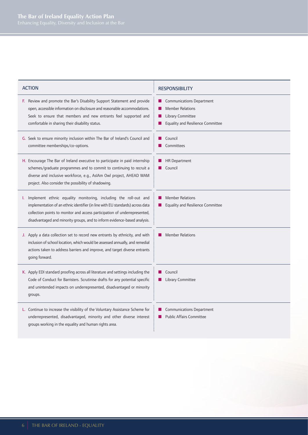- F. Review and promote the Bar's Disability Support Statement and provide open, accessible information on disclosure and reasonable accommodations. Seek to ensure that members and new entrants feel supported and comfortable in sharing their disability status.
- G. Seek to ensure minority inclusion within The Bar of Ireland's Council and committee memberships/co-options.
- H. Encourage The Bar of Ireland executive to participate in paid internship schemes/graduate programmes and to commit to continuing to recruit a diverse and inclusive workforce, e.g., AsIAm Owl project, AHEAD WAM project. Also consider the possibility of shadowing.
- I. Implement ethnic equality monitoring, including the roll-out and implementation of an ethnic identifier (in line with EU standards) across data collection points to monitor and access participation of underrepresented, disadvantaged and minority groups, and to inform evidence-based analysis.
- J. Apply a data collection set to record new entrants by ethnicity, and with inclusion of school location, which would be assessed annually, and remedial actions taken to address barriers and improve, and target diverse entrants going forward.
- K. Apply EDI standard proofing across all literature and settings including the Code of Conduct for Barristers. Scrutinise drafts for any potential specific and unintended impacts on underrepresented, disadvantaged or minority groups.
- L. Continue to increase the visibility of the Voluntary Assistance Scheme for underrepresented, disadvantaged, minority and other diverse interest groups working in the equality and human rights area.

#### ACTION **RESPONSIBILITY**

- **n** Communications Department
- **Member Relations**
- Library Committee
- Equality and Resilience Committee
- $\Box$  Council
- Committees
- **HR Department**
- Council
- **n** Member Relations
- **n** Equality and Resilience Committee
- **n** Member Relations
- $\Box$  Council
- **n** Library Committee
- **n** Communications Department
- Public Affairs Committee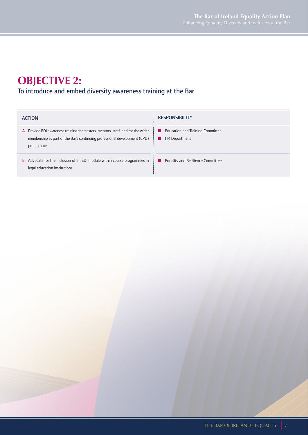## **OBJECTIVE 2:**

### To introduce and embed diversity awareness training at the Bar

| <b>ACTION</b>                                                                     | <b>RESPONSIBILITY</b>                   |
|-----------------------------------------------------------------------------------|-----------------------------------------|
| A. Provide EDI awareness training for masters, mentors, staff, and for the wider  | <b>Education and Training Committee</b> |
| membership as part of the Bar's continuing professional development (CPD)         | . .                                     |
| programme.                                                                        | HR Department                           |
| <b>B.</b> Advocate for the inclusion of an EDI module within course programmes in | Equality and Resilience Committee       |
| legal education institutions.                                                     | . .                                     |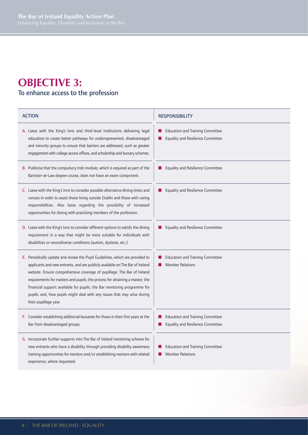### **OBJECTIVE 3:** To enhance access to the profession

| <b>ACTION</b>                                                                                                                                                                                                                                                                                                                                                                                                                                                                                             | <b>RESPONSIBILITY</b>                                                               |
|-----------------------------------------------------------------------------------------------------------------------------------------------------------------------------------------------------------------------------------------------------------------------------------------------------------------------------------------------------------------------------------------------------------------------------------------------------------------------------------------------------------|-------------------------------------------------------------------------------------|
| A. Liaise with the King's Inns and third-level institutions delivering legal<br>education to create better pathways for underrepresented, disadvantaged<br>and minority groups to ensure that barriers are addressed, such as greater<br>engagement with college access offices, and scholarship and bursary schemes.                                                                                                                                                                                     | <b>Education and Training Committee</b><br><b>Equality and Resilience Committee</b> |
| B. Publicise that the compulsory Irish module, which is required as part of the<br>Barrister-at-Law degree course, does not have an exam component.                                                                                                                                                                                                                                                                                                                                                       | Equality and Resilience Committee                                                   |
| C. Liaise with the King's Inns to consider possible alternative dining times and<br>venues in order to assist those living outside Dublin and those with caring<br>responsibilities. Also liaise regarding the possibility of increased<br>opportunities for dining with practising members of the profession.                                                                                                                                                                                            | <b>Equality and Resilience Committee</b>                                            |
| D. Liaise with the King's Inns to consider different options to satisfy the dining<br>requirement in a way that might be more suitable for individuals with<br>disabilities or neurodiverse conditions (autism, dyslexia, etc.).                                                                                                                                                                                                                                                                          | <b>Equality and Resilience Committee</b>                                            |
| E. Periodically update and review the Pupil Guidelines, which are provided to<br>applicants and new entrants, and are publicly available on The Bar of Ireland<br>website. Ensure comprehensive coverage of pupillage: The Bar of Ireland<br>requirements for masters and pupils; the process for attaining a master; the<br>financial support available for pupils; the Bar mentoring programme for<br>pupils; and, how pupils might deal with any issues that may arise during<br>their pupillage year. | <b>Education and Training Committee</b><br><b>Member Relations</b>                  |
| F. Consider establishing additional bursaries for those in their first years at the<br>Bar from disadvantaged groups.                                                                                                                                                                                                                                                                                                                                                                                     | <b>Education and Training Committee</b><br><b>Equality and Resilience Committee</b> |
| G. Incorporate further supports into The Bar of Ireland mentoring scheme for<br>new entrants who have a disability through providing disability awareness<br>training opportunities for mentors and/or establishing mentors with related<br>experience, where requested.                                                                                                                                                                                                                                  | <b>Education and Training Committee</b><br><b>Member Relations</b>                  |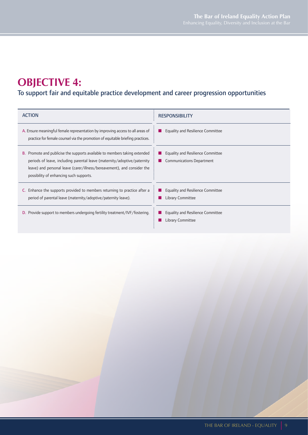## **OBJECTIVE 4:**

## To support fair and equitable practice development and career progression opportunities

| <b>ACTION</b>                                                                                                                                                                                                                                                                       | <b>RESPONSIBILITY</b>                                                        |
|-------------------------------------------------------------------------------------------------------------------------------------------------------------------------------------------------------------------------------------------------------------------------------------|------------------------------------------------------------------------------|
| A. Ensure meaningful female representation by improving access to all areas of<br>practice for female counsel via the promotion of equitable briefing practices.                                                                                                                    | <b>Equality and Resilience Committee</b><br>. .                              |
| <b>B.</b> Promote and publicise the supports available to members taking extended<br>periods of leave, including parental leave (maternity/adoptive/paternity<br>leave) and personal leave (carer/illness/bereavement), and consider the<br>possibility of enhancing such supports. | <b>Equality and Resilience Committee</b><br><b>Communications Department</b> |
| <b>C.</b> Enhance the supports provided to members returning to practice after a<br>period of parental leave (maternity/adoptive/paternity leave).                                                                                                                                  | <b>Equality and Resilience Committee</b><br>Library Committee                |
| <b>D.</b> Provide support to members undergoing fertility treatment/IVF/fostering.                                                                                                                                                                                                  | <b>Equality and Resilience Committee</b><br>Library Committee                |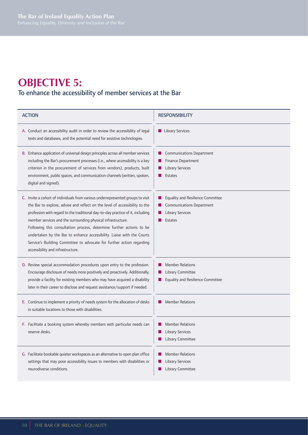## **OBJECTIVE 5:**

### To enhance the accessibility of member services at the Bar

| <b>ACTION</b>                                                                                                                                                                                                                                                                                                                                                                                                                                                                                                                                                                    | <b>RESPONSIBILITY</b>                                                                                              |
|----------------------------------------------------------------------------------------------------------------------------------------------------------------------------------------------------------------------------------------------------------------------------------------------------------------------------------------------------------------------------------------------------------------------------------------------------------------------------------------------------------------------------------------------------------------------------------|--------------------------------------------------------------------------------------------------------------------|
| A. Conduct an accessibility audit in order to review the accessibility of legal<br>texts and databases, and the potential need for assistive technologies.                                                                                                                                                                                                                                                                                                                                                                                                                       | Library Services                                                                                                   |
| B. Enhance application of universal design principles across all member services<br>including the Bar's procurement processes (i.e., where accessibility is a key<br>criterion in the procurement of services from vendors), products, built<br>environment, public spaces, and communication channels (written, spoken,<br>digital and signed).                                                                                                                                                                                                                                 | Communications Department<br>Finance Department<br><b>Library Services</b><br><b>Estates</b>                       |
| C. Invite a cohort of individuals from various underrepresented groups to visit<br>the Bar to explore, advise and reflect on the level of accessibility to the<br>profession with regard to the traditional day-to-day practice of it, including<br>member services and the surrounding physical infrastructure.<br>Following this consultation process, determine further actions to be<br>undertaken by the Bar to enhance accessibility. Liaise with the Courts<br>Service's Building Committee to advocate for further action regarding<br>accessibility and infrastructure. | Equality and Resilience Committee<br><b>Communications Department</b><br><b>Library Services</b><br><b>Estates</b> |
| D. Review special accommodation procedures upon entry to the profession.<br>Encourage disclosure of needs more positively and proactively. Additionally,<br>provide a facility for existing members who may have acquired a disability<br>later in their career to disclose and request assistance/support if needed.                                                                                                                                                                                                                                                            | <b>Member Relations</b><br>Library Committee<br><b>Equality and Resilience Committee</b>                           |
| E. Continue to implement a priority of needs system for the allocation of desks<br>in suitable locations to those with disabilities.                                                                                                                                                                                                                                                                                                                                                                                                                                             | <b>Member Relations</b>                                                                                            |
| F. Facilitate a booking system whereby members with particular needs can<br>reserve desks.                                                                                                                                                                                                                                                                                                                                                                                                                                                                                       | <b>Member Relations</b><br><b>Library Services</b><br>Library Committee                                            |
| G. Facilitate bookable quieter workspaces as an alternative to open plan office<br>settings that may pose accessibility issues to members with disabilities or<br>neurodiverse conditions.                                                                                                                                                                                                                                                                                                                                                                                       | <b>Member Relations</b><br><b>Library Services</b><br>Library Committee<br>ш                                       |